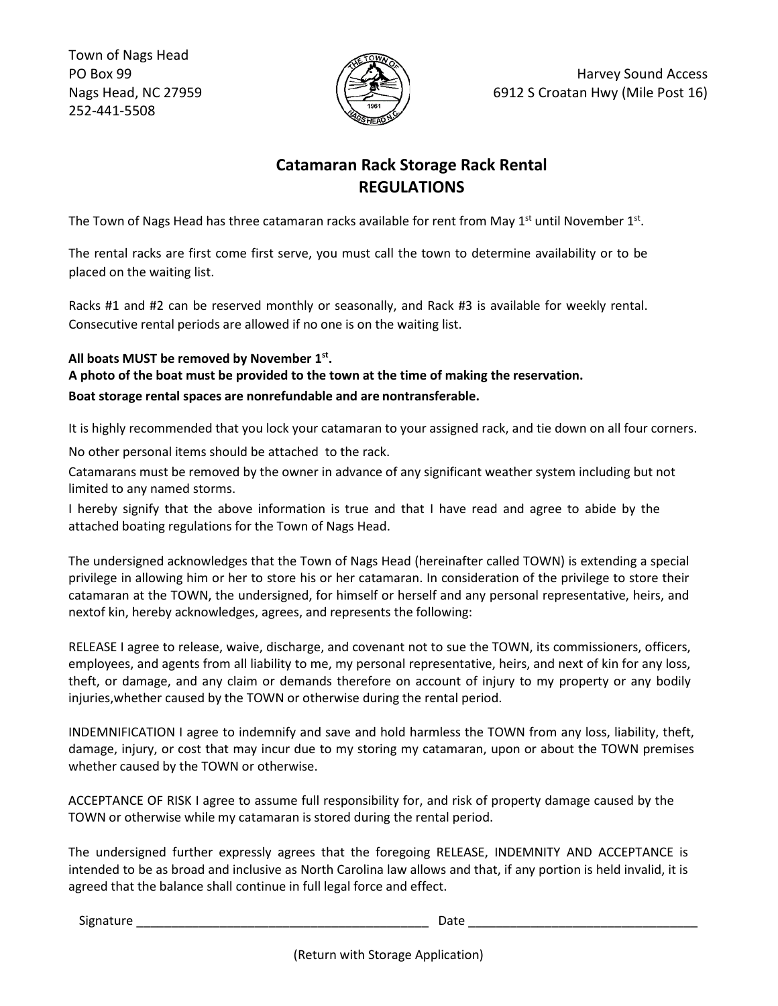Town of Nags Head PO Box 99 Nags Head, NC 27959 252-441-5508



## **Catamaran Rack Storage Rack Rental REGULATIONS**

The Town of Nags Head has three catamaran racks available for rent from May  $1<sup>st</sup>$  until November  $1<sup>st</sup>$ .

The rental racks are first come first serve, you must call the town to determine availability or to be placed on the waiting list.

Racks #1 and #2 can be reserved monthly or seasonally, and Rack #3 is available for weekly rental. Consecutive rental periods are allowed if no one is on the waiting list.

## **All boats MUST be removed by November 1st.**

**A photo of the boat must be provided to the town at the time of making the reservation. Boat storage rental spaces are nonrefundable and are nontransferable.**

It is highly recommended that you lock your catamaran to your assigned rack, and tie down on all four corners.

No other personal items should be attached to the rack.

Catamarans must be removed by the owner in advance of any significant weather system including but not limited to any named storms.

I hereby signify that the above information is true and that I have read and agree to abide by the attached boating regulations for the Town of Nags Head.

The undersigned acknowledges that the Town of Nags Head (hereinafter called TOWN) is extending a special privilege in allowing him or her to store his or her catamaran. In consideration of the privilege to store their catamaran at the TOWN, the undersigned, for himself or herself and any personal representative, heirs, and nextof kin, hereby acknowledges, agrees, and represents the following:

RELEASE I agree to release, waive, discharge, and covenant not to sue the TOWN, its commissioners, officers, employees, and agents from all liability to me, my personal representative, heirs, and next of kin for any loss, theft, or damage, and any claim or demands therefore on account of injury to my property or any bodily injuries,whether caused by the TOWN or otherwise during the rental period.

INDEMNIFICATION I agree to indemnify and save and hold harmless the TOWN from any loss, liability, theft, damage, injury, or cost that may incur due to my storing my catamaran, upon or about the TOWN premises whether caused by the TOWN or otherwise.

ACCEPTANCE OF RISK I agree to assume full responsibility for, and risk of property damage caused by the TOWN or otherwise while my catamaran is stored during the rental period.

The undersigned further expressly agrees that the foregoing RELEASE, INDEMNITY AND ACCEPTANCE is intended to be as broad and inclusive as North Carolina law allows and that, if any portion is held invalid, it is agreed that the balance shall continue in full legal force and effect.

Signature \_\_\_\_\_\_\_\_\_\_\_\_\_\_\_\_\_\_\_\_\_\_\_\_\_\_\_\_\_\_\_\_\_\_\_\_\_\_\_\_\_\_ Date \_\_\_\_\_\_\_\_\_\_\_\_\_\_\_\_\_\_\_\_\_\_\_\_\_\_\_\_\_\_\_\_\_

(Return with Storage Application)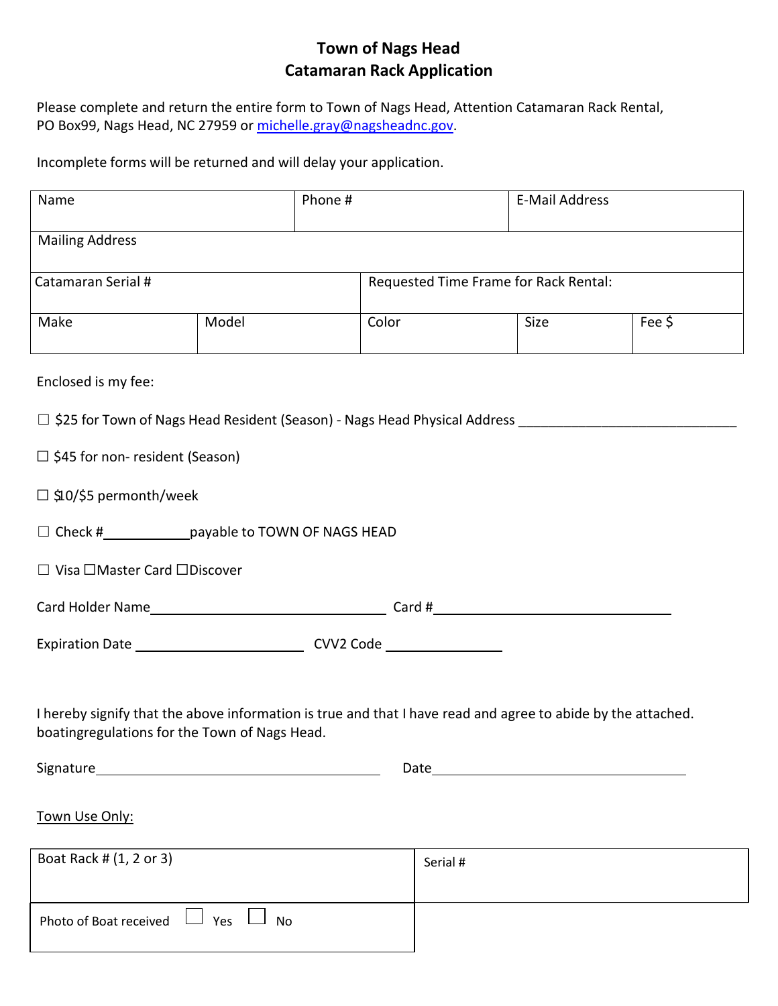## **Town of Nags Head Catamaran Rack Application**

Please complete and return the entire form to Town of Nags Head, Attention Catamaran Rack Rental, PO Box99, Nags Head, NC 27959 or [michelle.gray@nagsheadnc.gov.](mailto:michelle.gray@nagsheadnc.gov)

Incomplete forms will be returned and will delay your application.

| Name                                                                                                                                                          |                         | Phone # |                                       | <b>E-Mail Address</b> |        |  |
|---------------------------------------------------------------------------------------------------------------------------------------------------------------|-------------------------|---------|---------------------------------------|-----------------------|--------|--|
| Mailing Address                                                                                                                                               |                         |         |                                       |                       |        |  |
| Catamaran Serial #                                                                                                                                            |                         |         | Requested Time Frame for Rack Rental: |                       |        |  |
| Make                                                                                                                                                          | Model                   | Color   |                                       | Size                  | Fee \$ |  |
| Enclosed is my fee:                                                                                                                                           |                         |         |                                       |                       |        |  |
| □ \$25 for Town of Nags Head Resident (Season) - Nags Head Physical Address ________________________                                                          |                         |         |                                       |                       |        |  |
| $\Box$ \$45 for non- resident (Season)                                                                                                                        |                         |         |                                       |                       |        |  |
| □ \$10/\$5 permonth/week                                                                                                                                      |                         |         |                                       |                       |        |  |
| □ Check #_______________payable to TOWN OF NAGS HEAD                                                                                                          |                         |         |                                       |                       |        |  |
| □ Visa □Master Card □Discover                                                                                                                                 |                         |         |                                       |                       |        |  |
|                                                                                                                                                               |                         |         |                                       |                       |        |  |
| Expiration Date ___________________________________CVV2 Code ___________________                                                                              |                         |         |                                       |                       |        |  |
| I hereby signify that the above information is true and that I have read and agree to abide by the attached.<br>boatingregulations for the Town of Nags Head. |                         |         |                                       |                       |        |  |
| Signature<br>Date                                                                                                                                             |                         |         |                                       |                       |        |  |
| Town Use Only:                                                                                                                                                |                         |         |                                       |                       |        |  |
| Boat Rack # (1, 2 or 3)                                                                                                                                       |                         |         | Serial #                              |                       |        |  |
| Photo of Boat received                                                                                                                                        | $\Box$ Yes<br><b>No</b> |         |                                       |                       |        |  |